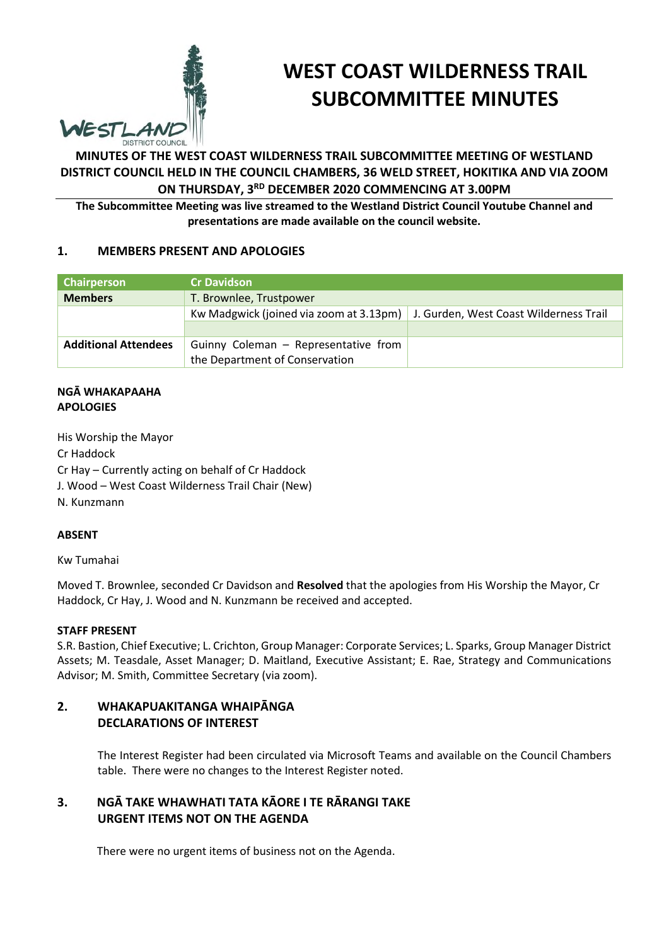

# **WEST COAST WILDERNESS TRAIL SUBCOMMITTEE MINUTES**

# **MINUTES OF THE WEST COAST WILDERNESS TRAIL SUBCOMMITTEE MEETING OF WESTLAND DISTRICT COUNCIL HELD IN THE COUNCIL CHAMBERS, 36 WELD STREET, HOKITIKA AND VIA ZOOM ON THURSDAY, 3RD DECEMBER 2020 COMMENCING AT 3.00PM**

**The Subcommittee Meeting was live streamed to the Westland District Council Youtube Channel and presentations are made available on the council website.** 

# **1. MEMBERS PRESENT AND APOLOGIES**

| Chairperson                 | <b>ICr Davidson</b>                     |                                        |
|-----------------------------|-----------------------------------------|----------------------------------------|
| <b>Members</b>              | T. Brownlee, Trustpower                 |                                        |
|                             | Kw Madgwick (joined via zoom at 3.13pm) | J. Gurden, West Coast Wilderness Trail |
|                             |                                         |                                        |
| <b>Additional Attendees</b> | Guinny Coleman - Representative from    |                                        |
|                             | the Department of Conservation          |                                        |

#### **NGĀ WHAKAPAAHA APOLOGIES**

His Worship the Mayor

Cr Haddock

Cr Hay – Currently acting on behalf of Cr Haddock

J. Wood – West Coast Wilderness Trail Chair (New)

N. Kunzmann

## **ABSENT**

Kw Tumahai

Moved T. Brownlee, seconded Cr Davidson and **Resolved** that the apologies from His Worship the Mayor, Cr Haddock, Cr Hay, J. Wood and N. Kunzmann be received and accepted.

#### **STAFF PRESENT**

S.R. Bastion, Chief Executive; L. Crichton, Group Manager: Corporate Services; L. Sparks, Group Manager District Assets; M. Teasdale, Asset Manager; D. Maitland, Executive Assistant; E. Rae, Strategy and Communications Advisor; M. Smith, Committee Secretary (via zoom).

# **2. WHAKAPUAKITANGA WHAIPĀNGA DECLARATIONS OF INTEREST**

The Interest Register had been circulated via Microsoft Teams and available on the Council Chambers table. There were no changes to the Interest Register noted.

# **3. NGĀ TAKE WHAWHATI TATA KĀORE I TE RĀRANGI TAKE URGENT ITEMS NOT ON THE AGENDA**

There were no urgent items of business not on the Agenda.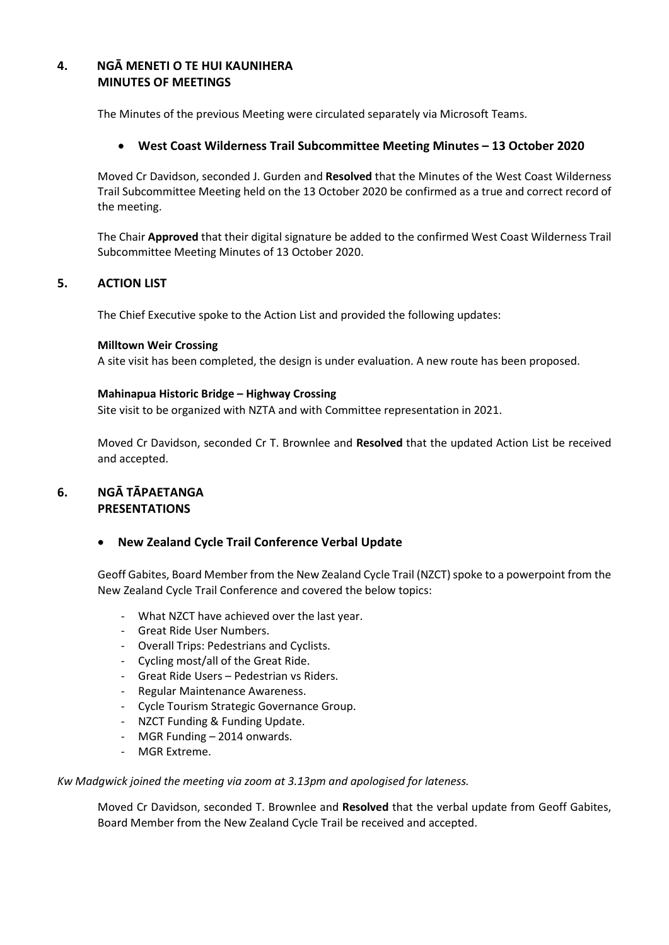# **4. NGĀ MENETI O TE HUI KAUNIHERA MINUTES OF MEETINGS**

The Minutes of the previous Meeting were circulated separately via Microsoft Teams.

## **West Coast Wilderness Trail Subcommittee Meeting Minutes – 13 October 2020**

Moved Cr Davidson, seconded J. Gurden and **Resolved** that the Minutes of the West Coast Wilderness Trail Subcommittee Meeting held on the 13 October 2020 be confirmed as a true and correct record of the meeting.

The Chair **Approved** that their digital signature be added to the confirmed West Coast Wilderness Trail Subcommittee Meeting Minutes of 13 October 2020.

## **5. ACTION LIST**

The Chief Executive spoke to the Action List and provided the following updates:

#### **Milltown Weir Crossing**

A site visit has been completed, the design is under evaluation. A new route has been proposed.

#### **Mahinapua Historic Bridge – Highway Crossing**

Site visit to be organized with NZTA and with Committee representation in 2021.

Moved Cr Davidson, seconded Cr T. Brownlee and **Resolved** that the updated Action List be received and accepted.

## **6. NGĀ TĀPAETANGA PRESENTATIONS**

## **New Zealand Cycle Trail Conference Verbal Update**

Geoff Gabites, Board Member from the New Zealand Cycle Trail (NZCT) spoke to a powerpoint from the New Zealand Cycle Trail Conference and covered the below topics:

- What NZCT have achieved over the last year.
- Great Ride User Numbers.
- Overall Trips: Pedestrians and Cyclists.
- Cycling most/all of the Great Ride.
- Great Ride Users Pedestrian vs Riders.
- Regular Maintenance Awareness.
- Cycle Tourism Strategic Governance Group.
- NZCT Funding & Funding Update.
- MGR Funding 2014 onwards.
- MGR Extreme.

#### *Kw Madgwick joined the meeting via zoom at 3.13pm and apologised for lateness.*

Moved Cr Davidson, seconded T. Brownlee and **Resolved** that the verbal update from Geoff Gabites, Board Member from the New Zealand Cycle Trail be received and accepted.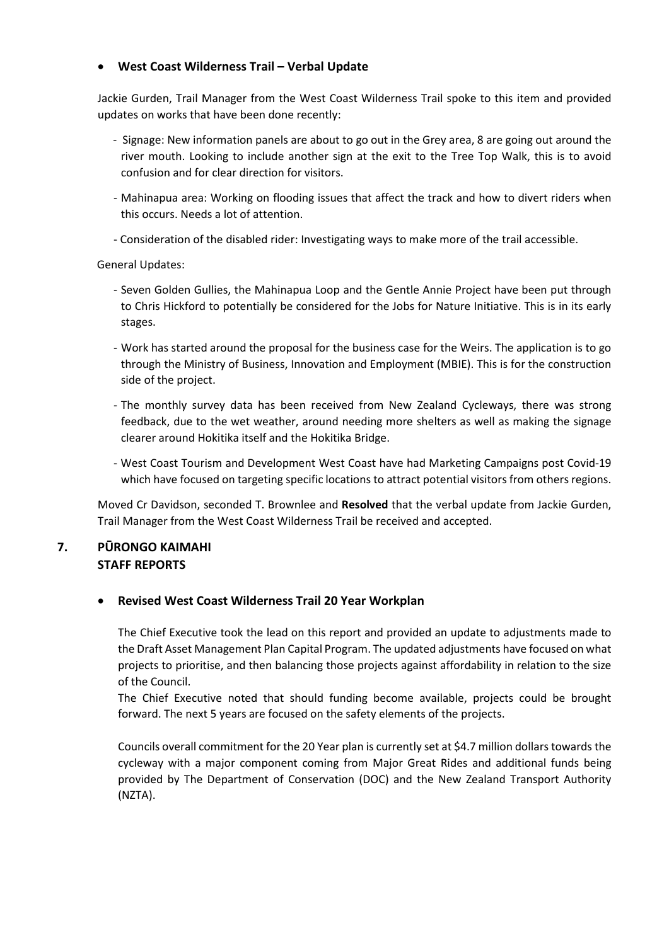## **West Coast Wilderness Trail – Verbal Update**

Jackie Gurden, Trail Manager from the West Coast Wilderness Trail spoke to this item and provided updates on works that have been done recently:

- Signage: New information panels are about to go out in the Grey area, 8 are going out around the river mouth. Looking to include another sign at the exit to the Tree Top Walk, this is to avoid confusion and for clear direction for visitors.
- Mahinapua area: Working on flooding issues that affect the track and how to divert riders when this occurs. Needs a lot of attention.
- Consideration of the disabled rider: Investigating ways to make more of the trail accessible.

General Updates:

- Seven Golden Gullies, the Mahinapua Loop and the Gentle Annie Project have been put through to Chris Hickford to potentially be considered for the Jobs for Nature Initiative. This is in its early stages.
- Work has started around the proposal for the business case for the Weirs. The application is to go through the Ministry of Business, Innovation and Employment (MBIE). This is for the construction side of the project.
- The monthly survey data has been received from New Zealand Cycleways, there was strong feedback, due to the wet weather, around needing more shelters as well as making the signage clearer around Hokitika itself and the Hokitika Bridge.
- West Coast Tourism and Development West Coast have had Marketing Campaigns post Covid-19 which have focused on targeting specific locations to attract potential visitors from others regions.

Moved Cr Davidson, seconded T. Brownlee and **Resolved** that the verbal update from Jackie Gurden, Trail Manager from the West Coast Wilderness Trail be received and accepted.

# **7. PŪRONGO KAIMAHI STAFF REPORTS**

## **Revised West Coast Wilderness Trail 20 Year Workplan**

The Chief Executive took the lead on this report and provided an update to adjustments made to the Draft Asset Management Plan Capital Program. The updated adjustments have focused on what projects to prioritise, and then balancing those projects against affordability in relation to the size of the Council.

The Chief Executive noted that should funding become available, projects could be brought forward. The next 5 years are focused on the safety elements of the projects.

Councils overall commitment for the 20 Year plan is currently set at \$4.7 million dollars towards the cycleway with a major component coming from Major Great Rides and additional funds being provided by The Department of Conservation (DOC) and the New Zealand Transport Authority (NZTA).